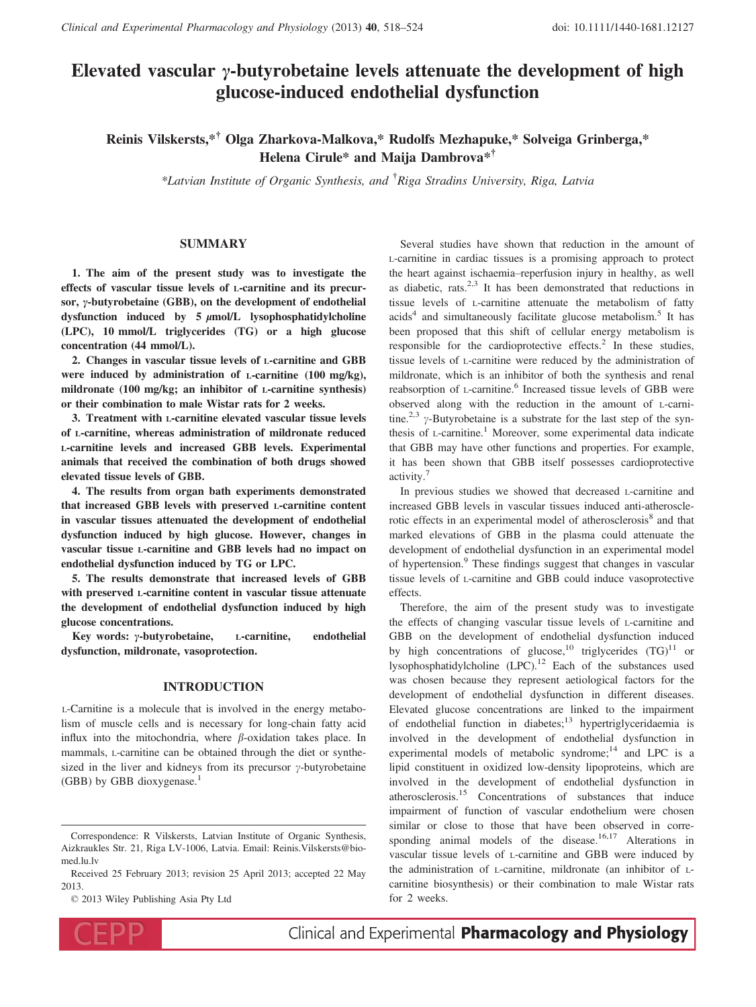# Elevated vascular  $\gamma$ -butyrobetaine levels attenuate the development of high glucose-induced endothelial dysfunction

# Reinis Vilskersts,\*† Olga Zharkova-Malkova,\* Rudolfs Mezhapuke,\* Solveiga Grinberga,\* Helena Cirule\* and Maija Dambrova\*†

\*Latvian Institute of Organic Synthesis, and † Riga Stradins University, Riga, Latvia

# SUMMARY

1. The aim of the present study was to investigate the effects of vascular tissue levels of L-carnitine and its precursor,  $\nu$ -butyrobetaine (GBB), on the development of endothelial dysfunction induced by  $5 \mu$ mol/L lysophosphatidylcholine (LPC), 10 mmol/L triglycerides (TG) or a high glucose concentration (44 mmol/L).

2. Changes in vascular tissue levels of L-carnitine and GBB were induced by administration of L-carnitine (100 mg/kg), mildronate (100 mg/kg; an inhibitor of L-carnitine synthesis) or their combination to male Wistar rats for 2 weeks.

3. Treatment with L-carnitine elevated vascular tissue levels of L-carnitine, whereas administration of mildronate reduced L-carnitine levels and increased GBB levels. Experimental animals that received the combination of both drugs showed elevated tissue levels of GBB.

4. The results from organ bath experiments demonstrated that increased GBB levels with preserved L-carnitine content in vascular tissues attenuated the development of endothelial dysfunction induced by high glucose. However, changes in vascular tissue L-carnitine and GBB levels had no impact on endothelial dysfunction induced by TG or LPC.

5. The results demonstrate that increased levels of GBB with preserved L-carnitine content in vascular tissue attenuate the development of endothelial dysfunction induced by high glucose concentrations.

Key words:  $\gamma$ -butyrobetaine, L-carnitine, endothelial dysfunction, mildronate, vasoprotection.

# INTRODUCTION

L-Carnitine is a molecule that is involved in the energy metabolism of muscle cells and is necessary for long-chain fatty acid influx into the mitochondria, where  $\beta$ -oxidation takes place. In mammals, L-carnitine can be obtained through the diet or synthesized in the liver and kidneys from its precursor  $\gamma$ -butyrobetaine (GBB) by GBB dioxygenase.<sup>1</sup>

© 2013 Wiley Publishing Asia Pty Ltd



Clinical and Experimental Pharmacology and Physiology

Several studies have shown that reduction in the amount of L-carnitine in cardiac tissues is a promising approach to protect the heart against ischaemia–reperfusion injury in healthy, as well as diabetic, rats. $2,3$  It has been demonstrated that reductions in tissue levels of L-carnitine attenuate the metabolism of fatty  $acids<sup>4</sup>$  and simultaneously facilitate glucose metabolism.<sup>5</sup> It has been proposed that this shift of cellular energy metabolism is responsible for the cardioprotective effects. $^{2}$  In these studies, tissue levels of L-carnitine were reduced by the administration of mildronate, which is an inhibitor of both the synthesis and renal reabsorption of L-carnitine.<sup>6</sup> Increased tissue levels of GBB were observed along with the reduction in the amount of L-carnitine.<sup>2,3</sup>  $\gamma$ -Butyrobetaine is a substrate for the last step of the synthesis of  $L$ -carnitine.<sup>1</sup> Moreover, some experimental data indicate that GBB may have other functions and properties. For example, it has been shown that GBB itself possesses cardioprotective activity.<sup>7</sup>

In previous studies we showed that decreased L-carnitine and increased GBB levels in vascular tissues induced anti-atherosclerotic effects in an experimental model of atherosclerosis<sup>8</sup> and that marked elevations of GBB in the plasma could attenuate the development of endothelial dysfunction in an experimental model of hypertension.<sup>9</sup> These findings suggest that changes in vascular tissue levels of L-carnitine and GBB could induce vasoprotective effects.

Therefore, the aim of the present study was to investigate the effects of changing vascular tissue levels of L-carnitine and GBB on the development of endothelial dysfunction induced by high concentrations of glucose,<sup>10</sup> triglycerides  $(TG)^{11}$  or lysophosphatidylcholine  $(LPC)^{12}$  Each of the substances used was chosen because they represent aetiological factors for the development of endothelial dysfunction in different diseases. Elevated glucose concentrations are linked to the impairment of endothelial function in diabetes;<sup>13</sup> hypertriglyceridaemia is involved in the development of endothelial dysfunction in experimental models of metabolic syndrome; $14$  and LPC is a lipid constituent in oxidized low-density lipoproteins, which are involved in the development of endothelial dysfunction in atherosclerosis.<sup>15</sup> Concentrations of substances that induce impairment of function of vascular endothelium were chosen similar or close to those that have been observed in corresponding animal models of the disease.<sup>16,17</sup> Alterations in vascular tissue levels of L-carnitine and GBB were induced by the administration of L-carnitine, mildronate (an inhibitor of Lcarnitine biosynthesis) or their combination to male Wistar rats for 2 weeks.

Correspondence: R Vilskersts, Latvian Institute of Organic Synthesis, Aizkraukles Str. 21, Riga LV-1006, Latvia. Email: Reinis.Vilskersts@biomed.lu.lv

Received 25 February 2013; revision 25 April 2013; accepted 22 May 2013.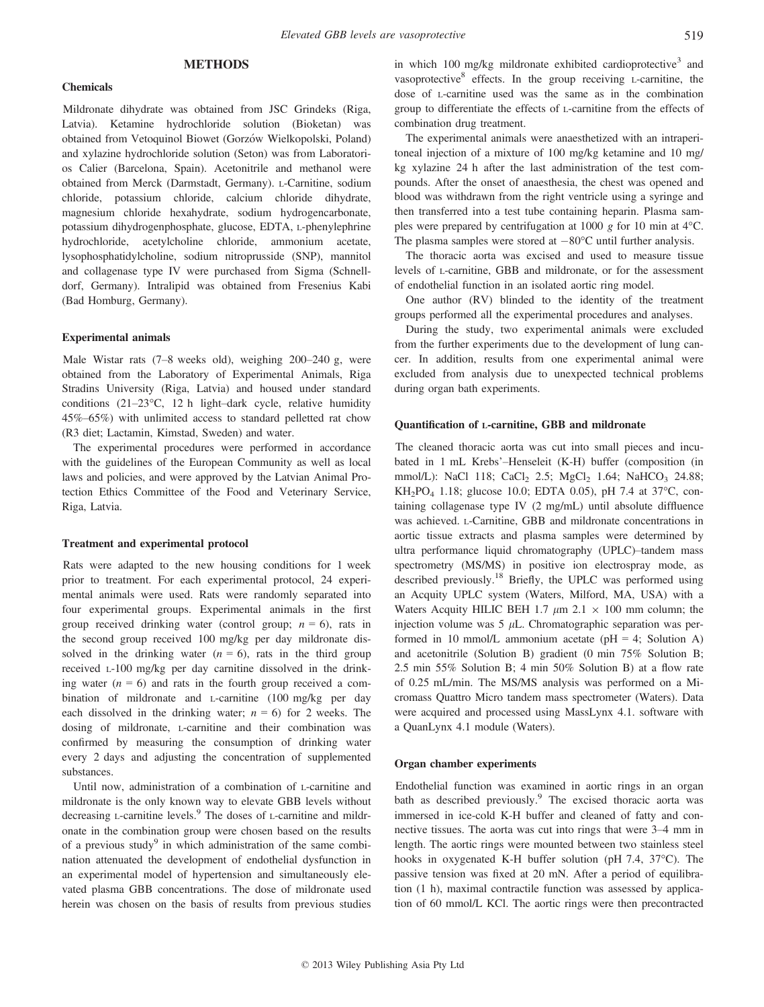# **METHODS**

#### Chemicals

Mildronate dihydrate was obtained from JSC Grindeks (Riga, Latvia). Ketamine hydrochloride solution (Bioketan) was obtained from Vetoquinol Biowet (Gorzów Wielkopolski, Poland) and xylazine hydrochloride solution (Seton) was from Laboratorios Calier (Barcelona, Spain). Acetonitrile and methanol were obtained from Merck (Darmstadt, Germany). L-Carnitine, sodium chloride, potassium chloride, calcium chloride dihydrate, magnesium chloride hexahydrate, sodium hydrogencarbonate, potassium dihydrogenphosphate, glucose, EDTA, L-phenylephrine hydrochloride, acetylcholine chloride, ammonium acetate, lysophosphatidylcholine, sodium nitroprusside (SNP), mannitol and collagenase type IV were purchased from Sigma (Schnelldorf, Germany). Intralipid was obtained from Fresenius Kabi (Bad Homburg, Germany).

#### Experimental animals

Male Wistar rats (7–8 weeks old), weighing 200–240 g, were obtained from the Laboratory of Experimental Animals, Riga Stradins University (Riga, Latvia) and housed under standard conditions (21–23°C, 12 h light–dark cycle, relative humidity 45%–65%) with unlimited access to standard pelletted rat chow (R3 diet; Lactamin, Kimstad, Sweden) and water.

The experimental procedures were performed in accordance with the guidelines of the European Community as well as local laws and policies, and were approved by the Latvian Animal Protection Ethics Committee of the Food and Veterinary Service, Riga, Latvia.

#### Treatment and experimental protocol

Rats were adapted to the new housing conditions for 1 week prior to treatment. For each experimental protocol, 24 experimental animals were used. Rats were randomly separated into four experimental groups. Experimental animals in the first group received drinking water (control group;  $n = 6$ ), rats in the second group received 100 mg/kg per day mildronate dissolved in the drinking water  $(n = 6)$ , rats in the third group received L-100 mg/kg per day carnitine dissolved in the drinking water  $(n = 6)$  and rats in the fourth group received a combination of mildronate and L-carnitine (100 mg/kg per day each dissolved in the drinking water;  $n = 6$ ) for 2 weeks. The dosing of mildronate, L-carnitine and their combination was confirmed by measuring the consumption of drinking water every 2 days and adjusting the concentration of supplemented substances.

Until now, administration of a combination of L-carnitine and mildronate is the only known way to elevate GBB levels without decreasing  $\mu$ -carnitine levels.<sup>9</sup> The doses of  $\mu$ -carnitine and mildronate in the combination group were chosen based on the results of a previous study<sup>9</sup> in which administration of the same combination attenuated the development of endothelial dysfunction in an experimental model of hypertension and simultaneously elevated plasma GBB concentrations. The dose of mildronate used herein was chosen on the basis of results from previous studies in which 100 mg/kg mildronate exhibited cardioprotective<sup>3</sup> and vasoprotective $8$  effects. In the group receiving L-carnitine, the dose of L-carnitine used was the same as in the combination group to differentiate the effects of L-carnitine from the effects of combination drug treatment.

The experimental animals were anaesthetized with an intraperitoneal injection of a mixture of 100 mg/kg ketamine and 10 mg/ kg xylazine 24 h after the last administration of the test compounds. After the onset of anaesthesia, the chest was opened and blood was withdrawn from the right ventricle using a syringe and then transferred into a test tube containing heparin. Plasma samples were prepared by centrifugation at 1000 g for 10 min at  $4^{\circ}$ C. The plasma samples were stored at  $-80^{\circ}$ C until further analysis.

The thoracic aorta was excised and used to measure tissue levels of L-carnitine, GBB and mildronate, or for the assessment of endothelial function in an isolated aortic ring model.

One author (RV) blinded to the identity of the treatment groups performed all the experimental procedures and analyses.

During the study, two experimental animals were excluded from the further experiments due to the development of lung cancer. In addition, results from one experimental animal were excluded from analysis due to unexpected technical problems during organ bath experiments.

# Quantification of L-carnitine, GBB and mildronate

The cleaned thoracic aorta was cut into small pieces and incubated in 1 mL Krebs'–Henseleit (K-H) buffer (composition (in mmol/L): NaCl 118; CaCl<sub>2</sub> 2.5; MgCl<sub>2</sub> 1.64; NaHCO<sub>3</sub> 24.88; KH2PO4 1.18; glucose 10.0; EDTA 0.05), pH 7.4 at 37°C, containing collagenase type IV (2 mg/mL) until absolute diffluence was achieved. L-Carnitine, GBB and mildronate concentrations in aortic tissue extracts and plasma samples were determined by ultra performance liquid chromatography (UPLC)–tandem mass spectrometry (MS/MS) in positive ion electrospray mode, as described previously.<sup>18</sup> Briefly, the UPLC was performed using an Acquity UPLC system (Waters, Milford, MA, USA) with a Waters Acquity HILIC BEH 1.7  $\mu$ m 2.1  $\times$  100 mm column; the injection volume was  $5 \mu L$ . Chromatographic separation was performed in 10 mmol/L ammonium acetate ( $pH = 4$ ; Solution A) and acetonitrile (Solution B) gradient (0 min 75% Solution B; 2.5 min 55% Solution B; 4 min 50% Solution B) at a flow rate of 0.25 mL/min. The MS/MS analysis was performed on a Micromass Quattro Micro tandem mass spectrometer (Waters). Data were acquired and processed using MassLynx 4.1. software with a QuanLynx 4.1 module (Waters).

#### Organ chamber experiments

Endothelial function was examined in aortic rings in an organ bath as described previously.<sup>9</sup> The excised thoracic aorta was immersed in ice-cold K-H buffer and cleaned of fatty and connective tissues. The aorta was cut into rings that were 3–4 mm in length. The aortic rings were mounted between two stainless steel hooks in oxygenated K-H buffer solution (pH 7.4, 37°C). The passive tension was fixed at 20 mN. After a period of equilibration (1 h), maximal contractile function was assessed by application of 60 mmol/L KCl. The aortic rings were then precontracted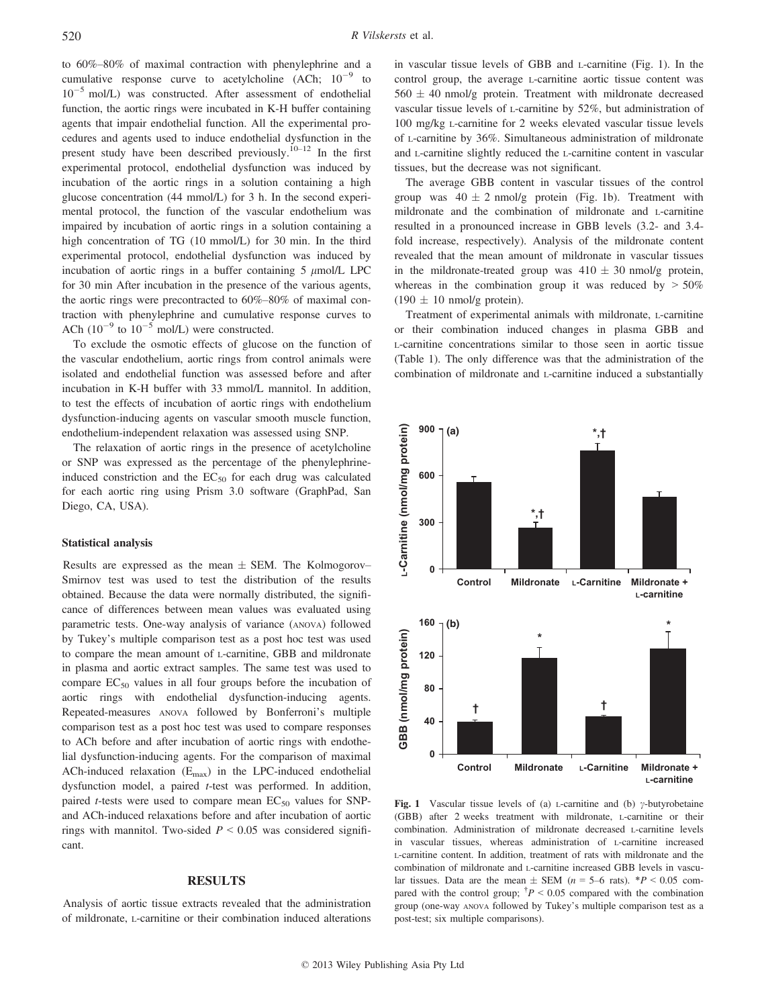to 60%–80% of maximal contraction with phenylephrine and a cumulative response curve to acetylcholine  $(ACh; 10^{-9}$  to  $10^{-5}$  mol/L) was constructed. After assessment of endothelial function, the aortic rings were incubated in K-H buffer containing agents that impair endothelial function. All the experimental procedures and agents used to induce endothelial dysfunction in the present study have been described previously.10–<sup>12</sup> In the first experimental protocol, endothelial dysfunction was induced by incubation of the aortic rings in a solution containing a high glucose concentration (44 mmol/L) for 3 h. In the second experimental protocol, the function of the vascular endothelium was impaired by incubation of aortic rings in a solution containing a high concentration of TG (10 mmol/L) for 30 min. In the third experimental protocol, endothelial dysfunction was induced by incubation of aortic rings in a buffer containing  $5 \mu$ mol/L LPC for 30 min After incubation in the presence of the various agents, the aortic rings were precontracted to 60%–80% of maximal contraction with phenylephrine and cumulative response curves to ACh  $(10^{-9}$  to  $10^{-5}$  mol/L) were constructed.

To exclude the osmotic effects of glucose on the function of the vascular endothelium, aortic rings from control animals were isolated and endothelial function was assessed before and after incubation in K-H buffer with 33 mmol/L mannitol. In addition, to test the effects of incubation of aortic rings with endothelium dysfunction-inducing agents on vascular smooth muscle function, endothelium-independent relaxation was assessed using SNP.

The relaxation of aortic rings in the presence of acetylcholine or SNP was expressed as the percentage of the phenylephrineinduced constriction and the  $EC_{50}$  for each drug was calculated for each aortic ring using Prism 3.0 software (GraphPad, San Diego, CA, USA).

#### Statistical analysis

Results are expressed as the mean  $\pm$  SEM. The Kolmogorov– Smirnov test was used to test the distribution of the results obtained. Because the data were normally distributed, the significance of differences between mean values was evaluated using parametric tests. One-way analysis of variance (ANOVA) followed by Tukey's multiple comparison test as a post hoc test was used to compare the mean amount of L-carnitine, GBB and mildronate in plasma and aortic extract samples. The same test was used to compare  $EC_{50}$  values in all four groups before the incubation of aortic rings with endothelial dysfunction-inducing agents. Repeated-measures ANOVA followed by Bonferroni's multiple comparison test as a post hoc test was used to compare responses to ACh before and after incubation of aortic rings with endothelial dysfunction-inducing agents. For the comparison of maximal ACh-induced relaxation  $(E_{\text{max}})$  in the LPC-induced endothelial dysfunction model, a paired t-test was performed. In addition, paired *t*-tests were used to compare mean  $EC_{50}$  values for SNPand ACh-induced relaxations before and after incubation of aortic rings with mannitol. Two-sided  $P \leq 0.05$  was considered significant.

# RESULTS

Analysis of aortic tissue extracts revealed that the administration of mildronate, L-carnitine or their combination induced alterations in vascular tissue levels of GBB and L-carnitine (Fig. 1). In the control group, the average L-carnitine aortic tissue content was  $560 \pm 40$  nmol/g protein. Treatment with mildronate decreased vascular tissue levels of L-carnitine by 52%, but administration of 100 mg/kg L-carnitine for 2 weeks elevated vascular tissue levels of L-carnitine by 36%. Simultaneous administration of mildronate and L-carnitine slightly reduced the L-carnitine content in vascular tissues, but the decrease was not significant.

The average GBB content in vascular tissues of the control group was  $40 \pm 2$  nmol/g protein (Fig. 1b). Treatment with mildronate and the combination of mildronate and L-carnitine resulted in a pronounced increase in GBB levels (3.2- and 3.4 fold increase, respectively). Analysis of the mildronate content revealed that the mean amount of mildronate in vascular tissues in the mildronate-treated group was  $410 \pm 30$  nmol/g protein, whereas in the combination group it was reduced by  $> 50\%$  $(190 \pm 10 \text{ nmol/g protein}).$ 

Treatment of experimental animals with mildronate, L-carnitine or their combination induced changes in plasma GBB and L-carnitine concentrations similar to those seen in aortic tissue (Table 1). The only difference was that the administration of the combination of mildronate and L-carnitine induced a substantially



Fig. 1 Vascular tissue levels of (a) *L*-carnitine and (b)  $\gamma$ -butyrobetaine (GBB) after 2 weeks treatment with mildronate, L-carnitine or their combination. Administration of mildronate decreased L-carnitine levels in vascular tissues, whereas administration of L-carnitine increased L-carnitine content. In addition, treatment of rats with mildronate and the combination of mildronate and L-carnitine increased GBB levels in vascular tissues. Data are the mean  $\pm$  SEM (n = 5–6 rats). \*P < 0.05 compared with the control group;  $\frac{\dagger P}{\varepsilon}$  = 0.05 compared with the combination group (one-way ANOVA followed by Tukey's multiple comparison test as a post-test; six multiple comparisons).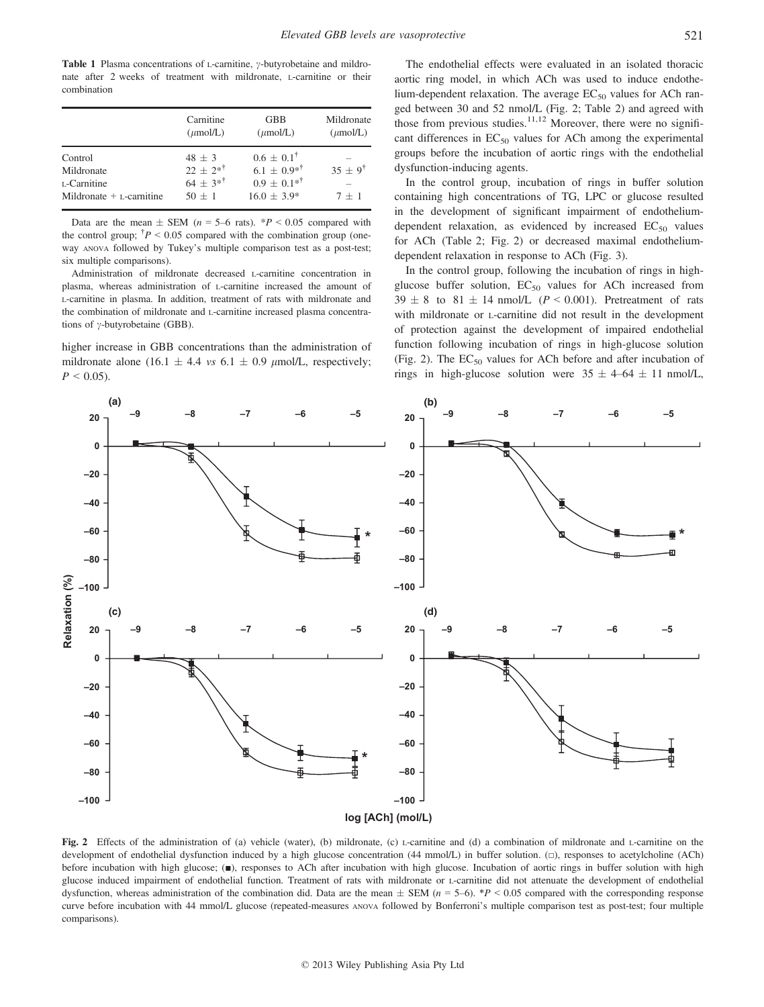Table 1 Plasma concentrations of L-carnitine,  $\gamma$ -butyrobetaine and mildronate after 2 weeks of treatment with mildronate, L-carnitine or their combination

|                            | Carnitine<br>$(\mu \text{mol/L})$ | <b>GBB</b><br>$(\mu \text{mol/L})$ | Mildronate<br>$(\mu \text{mol/L})$ |
|----------------------------|-----------------------------------|------------------------------------|------------------------------------|
| Control                    | $48 + 3$                          | $0.6 + 0.1^{\dagger}$              |                                    |
| Mildronate                 | $22 + 2*^{\dagger}$               | $6.1 \pm 0.9^{* \dagger}$          | $35 \pm 9^{\dagger}$               |
| L-Carnitine                | $64 + 3*^{\dagger}$               | $0.9 \pm 0.1^{*1}$                 |                                    |
| Mildronate $+$ L-carnitine | $50 + 1$                          | $16.0 \pm 3.9^*$                   | $7 + 1$                            |

Data are the mean  $\pm$  SEM (n = 5–6 rats). \*P < 0.05 compared with the control group;  $\dot{\tau}P < 0.05$  compared with the combination group (oneway ANOVA followed by Tukey's multiple comparison test as a post-test; six multiple comparisons).

Administration of mildronate decreased L-carnitine concentration in plasma, whereas administration of L-carnitine increased the amount of L-carnitine in plasma. In addition, treatment of rats with mildronate and the combination of mildronate and L-carnitine increased plasma concentrations of  $\gamma$ -butyrobetaine (GBB).

higher increase in GBB concentrations than the administration of mildronate alone (16.1  $\pm$  4.4 *vs* 6.1  $\pm$  0.9  $\mu$ mol/L, respectively;  $P \leq 0.05$ ).

The endothelial effects were evaluated in an isolated thoracic aortic ring model, in which ACh was used to induce endothelium-dependent relaxation. The average  $EC_{50}$  values for ACh ranged between 30 and 52 nmol/L (Fig. 2; Table 2) and agreed with those from previous studies.<sup>11,12</sup> Moreover, there were no significant differences in  $EC_{50}$  values for ACh among the experimental groups before the incubation of aortic rings with the endothelial dysfunction-inducing agents.

In the control group, incubation of rings in buffer solution containing high concentrations of TG, LPC or glucose resulted in the development of significant impairment of endotheliumdependent relaxation, as evidenced by increased  $EC_{50}$  values for ACh (Table 2; Fig. 2) or decreased maximal endotheliumdependent relaxation in response to ACh (Fig. 3).

In the control group, following the incubation of rings in highglucose buffer solution,  $EC_{50}$  values for ACh increased from  $39 \pm 8$  to  $81 \pm 14$  nmol/L ( $P < 0.001$ ). Pretreatment of rats with mildronate or L-carnitine did not result in the development of protection against the development of impaired endothelial function following incubation of rings in high-glucose solution (Fig. 2). The  $EC_{50}$  values for ACh before and after incubation of rings in high-glucose solution were  $35 \pm 4-64 \pm 11$  nmol/L,



Fig. 2 Effects of the administration of (a) vehicle (water), (b) mildronate, (c) L-carnitine and (d) a combination of mildronate and L-carnitine on the development of endothelial dysfunction induced by a high glucose concentration (44 mmol/L) in buffer solution. (□), responses to acetylcholine (ACh) before incubation with high glucose; (■), responses to ACh after incubation with high glucose. Incubation of aortic rings in buffer solution with high glucose induced impairment of endothelial function. Treatment of rats with mildronate or L-carnitine did not attenuate the development of endothelial dysfunction, whereas administration of the combination did. Data are the mean  $\pm$  SEM ( $n = 5-6$ ). \*P < 0.05 compared with the corresponding response curve before incubation with 44 mmol/L glucose (repeated-measures ANOVA followed by Bonferroni's multiple comparison test as post-test; four multiple comparisons).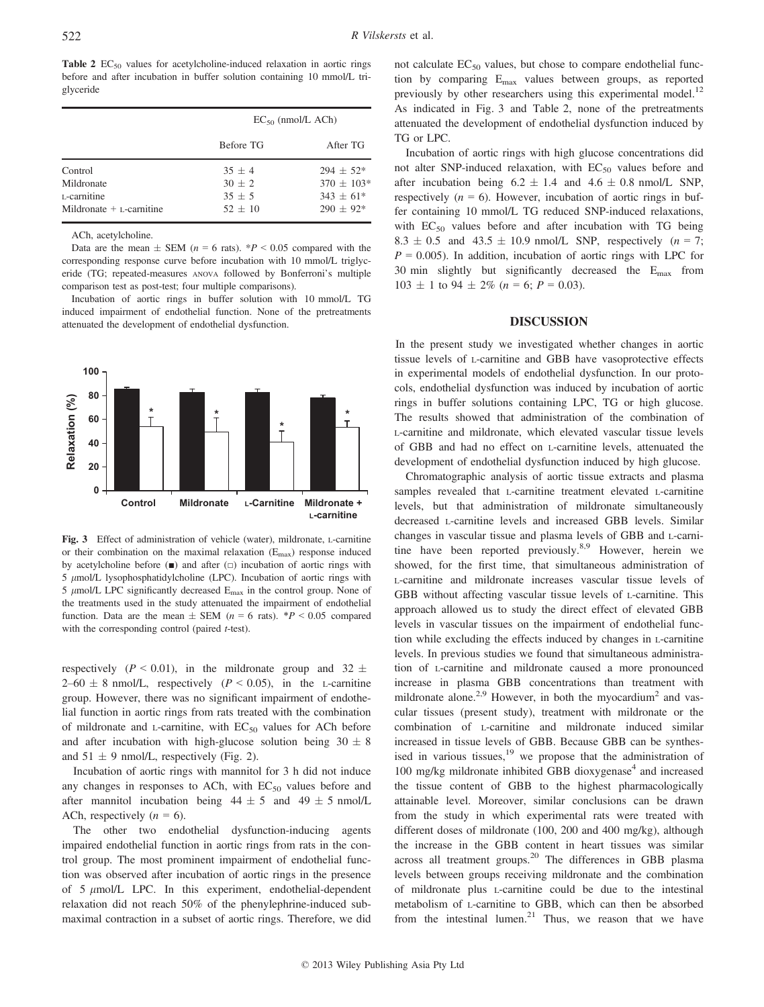Table 2  $EC_{50}$  values for acetylcholine-induced relaxation in aortic rings before and after incubation in buffer solution containing 10 mmol/L triglyceride

|                                                                    | $EC_{50}$ (nmol/L ACh)                        |                                                             |  |
|--------------------------------------------------------------------|-----------------------------------------------|-------------------------------------------------------------|--|
|                                                                    | Before TG                                     | After TG                                                    |  |
| Control<br>Mildronate<br>L-carnitine<br>Mildronate $+$ L-carnitine | $35 + 4$<br>$30 + 2$<br>$35 + 5$<br>$52 + 10$ | $294 + 52*$<br>$370 \pm 103*$<br>$343 + 61*$<br>$290 + 92*$ |  |

ACh, acetylcholine.

Data are the mean  $\pm$  SEM (n = 6 rats). \*P < 0.05 compared with the corresponding response curve before incubation with 10 mmol/L triglyceride (TG; repeated-measures ANOVA followed by Bonferroni's multiple comparison test as post-test; four multiple comparisons).

Incubation of aortic rings in buffer solution with 10 mmol/L TG induced impairment of endothelial function. None of the pretreatments attenuated the development of endothelial dysfunction.



Fig. 3 Effect of administration of vehicle (water), mildronate, L-carnitine or their combination on the maximal relaxation  $(E_{\text{max}})$  response induced by acetylcholine before  $(\blacksquare)$  and after  $(\square)$  incubation of aortic rings with  $5 \mu$ mol/L lysophosphatidylcholine (LPC). Incubation of aortic rings with 5  $\mu$ mol/L LPC significantly decreased  $E_{\text{max}}$  in the control group. None of the treatments used in the study attenuated the impairment of endothelial function. Data are the mean  $\pm$  SEM (n = 6 rats). \*P < 0.05 compared with the corresponding control (paired *t*-test).

respectively ( $P < 0.01$ ), in the mildronate group and 32  $\pm$  $2-60 \pm 8$  nmol/L, respectively ( $P < 0.05$ ), in the L-carnitine group. However, there was no significant impairment of endothelial function in aortic rings from rats treated with the combination of mildronate and  $L$ -carnitine, with  $EC_{50}$  values for ACh before and after incubation with high-glucose solution being  $30 \pm 8$ and  $51 \pm 9$  nmol/L, respectively (Fig. 2).

Incubation of aortic rings with mannitol for 3 h did not induce any changes in responses to ACh, with  $EC_{50}$  values before and after mannitol incubation being  $44 \pm 5$  and  $49 \pm 5$  nmol/L ACh, respectively  $(n = 6)$ .

The other two endothelial dysfunction-inducing agents impaired endothelial function in aortic rings from rats in the control group. The most prominent impairment of endothelial function was observed after incubation of aortic rings in the presence of  $5 \mu$ mol/L LPC. In this experiment, endothelial-dependent relaxation did not reach 50% of the phenylephrine-induced submaximal contraction in a subset of aortic rings. Therefore, we did not calculate  $EC_{50}$  values, but chose to compare endothelial function by comparing Emax values between groups, as reported previously by other researchers using this experimental model.<sup>12</sup> As indicated in Fig. 3 and Table 2, none of the pretreatments attenuated the development of endothelial dysfunction induced by TG or LPC.

Incubation of aortic rings with high glucose concentrations did not alter SNP-induced relaxation, with  $EC_{50}$  values before and after incubation being  $6.2 \pm 1.4$  and  $4.6 \pm 0.8$  nmol/L SNP, respectively  $(n = 6)$ . However, incubation of aortic rings in buffer containing 10 mmol/L TG reduced SNP-induced relaxations, with  $EC_{50}$  values before and after incubation with TG being  $8.3 \pm 0.5$  and  $43.5 \pm 10.9$  nmol/L SNP, respectively  $(n = 7)$ ;  $P = 0.005$ ). In addition, incubation of aortic rings with LPC for 30 min slightly but significantly decreased the  $E_{\text{max}}$  from  $103 \pm 1$  to  $94 \pm 2\%$  ( $n = 6$ ;  $P = 0.03$ ).

### DISCUSSION

In the present study we investigated whether changes in aortic tissue levels of L-carnitine and GBB have vasoprotective effects in experimental models of endothelial dysfunction. In our protocols, endothelial dysfunction was induced by incubation of aortic rings in buffer solutions containing LPC, TG or high glucose. The results showed that administration of the combination of L-carnitine and mildronate, which elevated vascular tissue levels of GBB and had no effect on L-carnitine levels, attenuated the development of endothelial dysfunction induced by high glucose.

Chromatographic analysis of aortic tissue extracts and plasma samples revealed that L-carnitine treatment elevated L-carnitine levels, but that administration of mildronate simultaneously decreased L-carnitine levels and increased GBB levels. Similar changes in vascular tissue and plasma levels of GBB and L-carnitine have been reported previously.<sup>8,9</sup> However, herein we showed, for the first time, that simultaneous administration of L-carnitine and mildronate increases vascular tissue levels of GBB without affecting vascular tissue levels of L-carnitine. This approach allowed us to study the direct effect of elevated GBB levels in vascular tissues on the impairment of endothelial function while excluding the effects induced by changes in L-carnitine levels. In previous studies we found that simultaneous administration of L-carnitine and mildronate caused a more pronounced increase in plasma GBB concentrations than treatment with mildronate alone.<sup>2,9</sup> However, in both the myocardium<sup>2</sup> and vascular tissues (present study), treatment with mildronate or the combination of L-carnitine and mildronate induced similar increased in tissue levels of GBB. Because GBB can be synthesised in various tissues, $19$  we propose that the administration of  $100 \text{ mg/kg}$  mildronate inhibited GBB dioxygenase<sup>4</sup> and increased the tissue content of GBB to the highest pharmacologically attainable level. Moreover, similar conclusions can be drawn from the study in which experimental rats were treated with different doses of mildronate (100, 200 and 400 mg/kg), although the increase in the GBB content in heart tissues was similar across all treatment groups.<sup>20</sup> The differences in GBB plasma levels between groups receiving mildronate and the combination of mildronate plus L-carnitine could be due to the intestinal metabolism of L-carnitine to GBB, which can then be absorbed from the intestinal lumen.<sup>21</sup> Thus, we reason that we have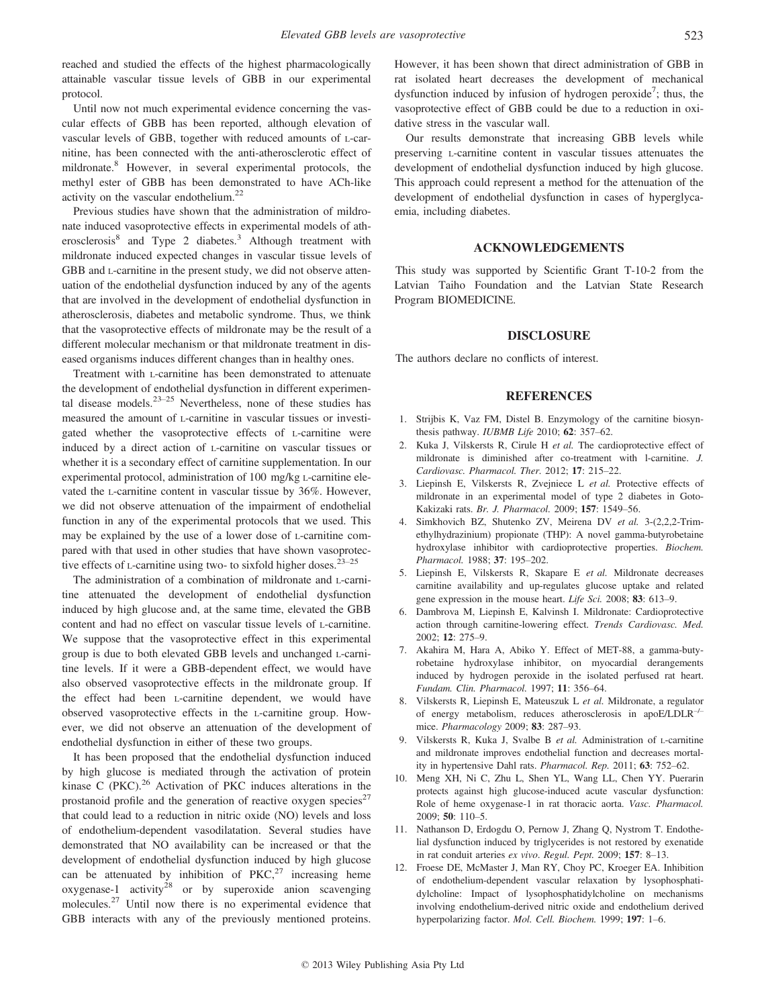reached and studied the effects of the highest pharmacologically attainable vascular tissue levels of GBB in our experimental protocol.

Until now not much experimental evidence concerning the vascular effects of GBB has been reported, although elevation of vascular levels of GBB, together with reduced amounts of L-carnitine, has been connected with the anti-atherosclerotic effect of mildronate.<sup>8</sup> However, in several experimental protocols, the methyl ester of GBB has been demonstrated to have ACh-like activity on the vascular endothelium.<sup>22</sup>

Previous studies have shown that the administration of mildronate induced vasoprotective effects in experimental models of atherosclerosis<sup>8</sup> and Type 2 diabetes.<sup>3</sup> Although treatment with mildronate induced expected changes in vascular tissue levels of GBB and L-carnitine in the present study, we did not observe attenuation of the endothelial dysfunction induced by any of the agents that are involved in the development of endothelial dysfunction in atherosclerosis, diabetes and metabolic syndrome. Thus, we think that the vasoprotective effects of mildronate may be the result of a different molecular mechanism or that mildronate treatment in diseased organisms induces different changes than in healthy ones.

Treatment with L-carnitine has been demonstrated to attenuate the development of endothelial dysfunction in different experimental disease models.<sup>23–25</sup> Nevertheless, none of these studies has measured the amount of L-carnitine in vascular tissues or investigated whether the vasoprotective effects of L-carnitine were induced by a direct action of L-carnitine on vascular tissues or whether it is a secondary effect of carnitine supplementation. In our experimental protocol, administration of 100 mg/kg L-carnitine elevated the L-carnitine content in vascular tissue by 36%. However, we did not observe attenuation of the impairment of endothelial function in any of the experimental protocols that we used. This may be explained by the use of a lower dose of L-carnitine compared with that used in other studies that have shown vasoprotective effects of  $L$ -carnitine using two- to sixfold higher doses.<sup>23–25</sup>

The administration of a combination of mildronate and L-carnitine attenuated the development of endothelial dysfunction induced by high glucose and, at the same time, elevated the GBB content and had no effect on vascular tissue levels of L-carnitine. We suppose that the vasoprotective effect in this experimental group is due to both elevated GBB levels and unchanged L-carnitine levels. If it were a GBB-dependent effect, we would have also observed vasoprotective effects in the mildronate group. If the effect had been L-carnitine dependent, we would have observed vasoprotective effects in the L-carnitine group. However, we did not observe an attenuation of the development of endothelial dysfunction in either of these two groups.

It has been proposed that the endothelial dysfunction induced by high glucose is mediated through the activation of protein kinase C (PKC). $^{26}$  Activation of PKC induces alterations in the prostanoid profile and the generation of reactive oxygen species<sup>27</sup> that could lead to a reduction in nitric oxide (NO) levels and loss of endothelium-dependent vasodilatation. Several studies have demonstrated that NO availability can be increased or that the development of endothelial dysfunction induced by high glucose can be attenuated by inhibition of  $PKC<sub>1</sub><sup>27</sup>$  increasing heme oxygenase-1 activity<sup>28</sup> or by superoxide anion scavenging molecules.<sup>27</sup> Until now there is no experimental evidence that GBB interacts with any of the previously mentioned proteins. However, it has been shown that direct administration of GBB in rat isolated heart decreases the development of mechanical dysfunction induced by infusion of hydrogen peroxide<sup>7</sup>; thus, the vasoprotective effect of GBB could be due to a reduction in oxidative stress in the vascular wall.

Our results demonstrate that increasing GBB levels while preserving L-carnitine content in vascular tissues attenuates the development of endothelial dysfunction induced by high glucose. This approach could represent a method for the attenuation of the development of endothelial dysfunction in cases of hyperglycaemia, including diabetes.

## ACKNOWLEDGEMENTS

This study was supported by Scientific Grant T-10-2 from the Latvian Taiho Foundation and the Latvian State Research Program BIOMEDICINE.

### DISCLOSURE

The authors declare no conflicts of interest.

## **REFERENCES**

- 1. Strijbis K, Vaz FM, Distel B. Enzymology of the carnitine biosynthesis pathway. IUBMB Life 2010; 62: 357–62.
- 2. Kuka J, Vilskersts R, Cirule H et al. The cardioprotective effect of mildronate is diminished after co-treatment with l-carnitine. J. Cardiovasc. Pharmacol. Ther. 2012; 17: 215–22.
- 3. Liepinsh E, Vilskersts R, Zvejniece L et al. Protective effects of mildronate in an experimental model of type 2 diabetes in Goto-Kakizaki rats. Br. J. Pharmacol. 2009; 157: 1549–56.
- 4. Simkhovich BZ, Shutenko ZV, Meirena DV et al. 3-(2,2,2-Trimethylhydrazinium) propionate (THP): A novel gamma-butyrobetaine hydroxylase inhibitor with cardioprotective properties. Biochem. Pharmacol. 1988; 37: 195–202.
- 5. Liepinsh E, Vilskersts R, Skapare E et al. Mildronate decreases carnitine availability and up-regulates glucose uptake and related gene expression in the mouse heart. Life Sci. 2008; 83: 613–9.
- 6. Dambrova M, Liepinsh E, Kalvinsh I. Mildronate: Cardioprotective action through carnitine-lowering effect. Trends Cardiovasc. Med. 2002; 12: 275–9.
- 7. Akahira M, Hara A, Abiko Y. Effect of MET-88, a gamma-butyrobetaine hydroxylase inhibitor, on myocardial derangements induced by hydrogen peroxide in the isolated perfused rat heart. Fundam. Clin. Pharmacol. 1997; 11: 356–64.
- 8. Vilskersts R, Liepinsh E, Mateuszuk L et al. Mildronate, a regulator of energy metabolism, reduces atherosclerosis in apoE/LDLR–/– mice. Pharmacology 2009; 83: 287–93.
- 9. Vilskersts R, Kuka J, Svalbe B et al. Administration of L-carnitine and mildronate improves endothelial function and decreases mortality in hypertensive Dahl rats. Pharmacol. Rep. 2011; 63: 752–62.
- 10. Meng XH, Ni C, Zhu L, Shen YL, Wang LL, Chen YY. Puerarin protects against high glucose-induced acute vascular dysfunction: Role of heme oxygenase-1 in rat thoracic aorta. Vasc. Pharmacol.  $2009:50:110-5$ .
- 11. Nathanson D, Erdogdu O, Pernow J, Zhang Q, Nystrom T. Endothelial dysfunction induced by triglycerides is not restored by exenatide in rat conduit arteries ex vivo. Regul. Pept. 2009; 157: 8–13.
- 12. Froese DE, McMaster J, Man RY, Choy PC, Kroeger EA. Inhibition of endothelium-dependent vascular relaxation by lysophosphatidylcholine: Impact of lysophosphatidylcholine on mechanisms involving endothelium-derived nitric oxide and endothelium derived hyperpolarizing factor. *Mol. Cell. Biochem.* 1999; **197**: 1–6.